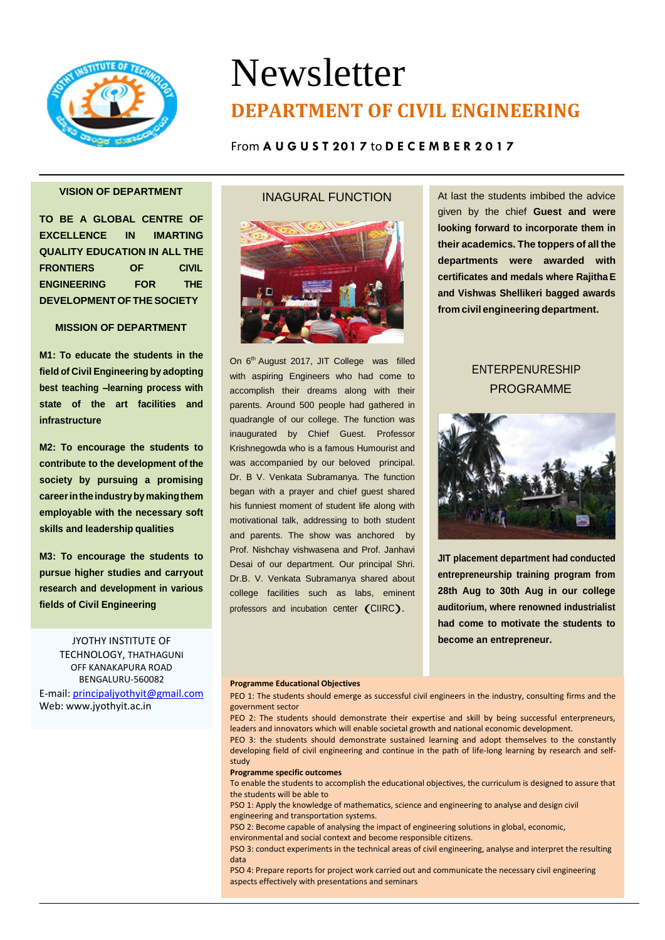

# Newsletter **DEPARTMENT OF CIVIL ENGINEERING**

# From **A U G U S T 201 7** to **D E C E M B E R 2 0 1 7**

# **VISION OF DEPARTMENT**

**TO BE A GLOBAL CENTRE OF EXCELLENCE IN IMARTING QUALITY EDUCATION IN ALL THE FRONTIERS OF CIVIL ENGINEERING FOR THE DEVELOPMENTOFTHESOCIETY**

# **MISSION OF DEPARTMENT**

**M1: To educate the students in the field of Civil Engineering by adopting best teaching –learning process with state of the art facilities and infrastructure**

**M2: To encourage the students to contribute to the development of the society by pursuing a promising careerintheindustrybymakingthem employable with the necessary soft skills and leadership qualities**

**M3: To encourage the students to pursue higher studies and carryout research and development in various fields of Civil Engineering**

> JYOTHY INSTITUTE OF TECHNOLOGY, THATHAGUNI OFF KANAKAPURA ROAD BENGALURU-560082

E-mail[: principaljyothyit@gmail.com](mailto:principaljyothyit@gmail.com) Web: [www.jyothyit.ac.in](http://www.jyothyit.ac.in/)

# INAGURAL FUNCTION



On 6<sup>th</sup> August 2017, JIT College was filled with aspiring Engineers who had come to accomplish their dreams along with their parents. Around 500 people had gathered in quadrangle of our college. The function was inaugurated by Chief Guest. Professor Krishnegowda who is a famous Humourist and was accompanied by our beloved principal. Dr. B V. Venkata Subramanya. The function began with a prayer and chief guest shared his funniest moment of student life along with motivational talk, addressing to both student and parents. The show was anchored by Prof. Nishchay vishwasena and Prof. Janhavi Desai of our department. Our principal Shri. Dr.B. V. Venkata Subramanya shared about college facilities such as labs, eminent professors and incubation center (CIIRC).

At last the students imbibed the advice given by the chief **Guest and were looking forward to incorporate them in their academics. The toppers of all the departments were awarded with certificates and medals where Rajitha E and Vishwas Shellikeri bagged awards from civil engineering department.**

# ENTERPENURESHIP PROGRAMME



**JIT placement department had conducted entrepreneurship training program from 28th Aug to 30th Aug in our college auditorium, where renowned industrialist had come to motivate the students to become an entrepreneur.**

#### **Programme Educational Objectives**

PEO 1: The students should emerge as successful civil engineers in the industry, consulting firms and the government sector

PEO 2: The students should demonstrate their expertise and skill by being successful enterpreneurs, leaders and innovators which will enable societal growth and national economic development.

PEO 3: the students should demonstrate sustained learning and adopt themselves to the constantly developing field of civil engineering and continue in the path of life-long learning by research and selfstudy

#### **Programme specific outcomes**

To enable the students to accomplish the educational objectives, the curriculum is designed to assure that the students will be able to

PSO 1: Apply the knowledge of mathematics, science and engineering to analyse and design civil engineering and transportation systems.

PSO 2: Become capable of analysing the impact of engineering solutions in global, economic, environmental and social context and become responsible citizens.

PSO 3: conduct experiments in the technical areas of civil engineering, analyse and interpret the resulting data

PSO 4: Prepare reports for project work carried out and communicate the necessary civil engineering aspects effectively with presentations and seminars